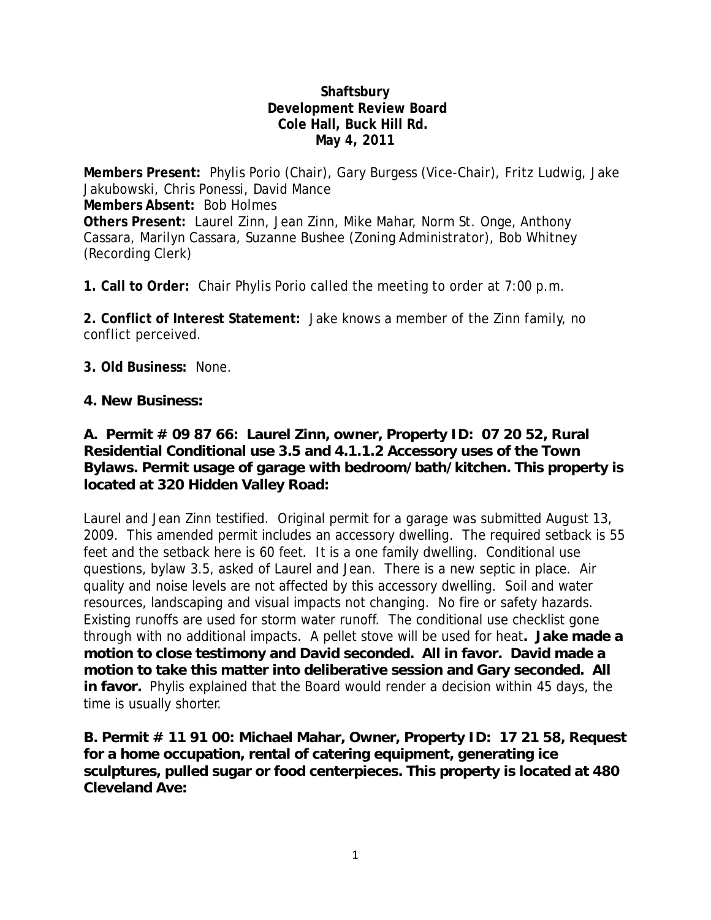#### **Shaftsbury Development Review Board Cole Hall, Buck Hill Rd. May 4, 2011**

**Members Present:** Phylis Porio (Chair), Gary Burgess (Vice-Chair), Fritz Ludwig, Jake Jakubowski, Chris Ponessi, David Mance **Members Absent:** Bob Holmes **Others Present:** Laurel Zinn, Jean Zinn, Mike Mahar, Norm St. Onge, Anthony Cassara, Marilyn Cassara, Suzanne Bushee (Zoning Administrator), Bob Whitney (Recording Clerk)

**1. Call to Order:** Chair Phylis Porio called the meeting to order at 7:00 p.m.

**2. Conflict of Interest Statement:** Jake knows a member of the Zinn family, no conflict perceived.

**3. Old Business:** None.

#### **4. New Business:**

# **A. Permit # 09 87 66: Laurel Zinn, owner, Property ID: 07 20 52, Rural Residential Conditional use 3.5 and 4.1.1.2 Accessory uses of the Town Bylaws. Permit usage of garage with bedroom/bath/kitchen. This property is located at 320 Hidden Valley Road:**

Laurel and Jean Zinn testified. Original permit for a garage was submitted August 13, 2009. This amended permit includes an accessory dwelling. The required setback is 55 feet and the setback here is 60 feet. It is a one family dwelling. Conditional use questions, bylaw 3.5, asked of Laurel and Jean. There is a new septic in place. Air quality and noise levels are not affected by this accessory dwelling. Soil and water resources, landscaping and visual impacts not changing. No fire or safety hazards. Existing runoffs are used for storm water runoff. The conditional use checklist gone through with no additional impacts. A pellet stove will be used for heat**. Jake made a motion to close testimony and David seconded. All in favor. David made a motion to take this matter into deliberative session and Gary seconded. All in favor.** Phylis explained that the Board would render a decision within 45 days, the time is usually shorter.

**B. Permit # 11 91 00: Michael Mahar, Owner, Property ID: 17 21 58, Request for a home occupation, rental of catering equipment, generating ice sculptures, pulled sugar or food centerpieces. This property is located at 480 Cleveland Ave:**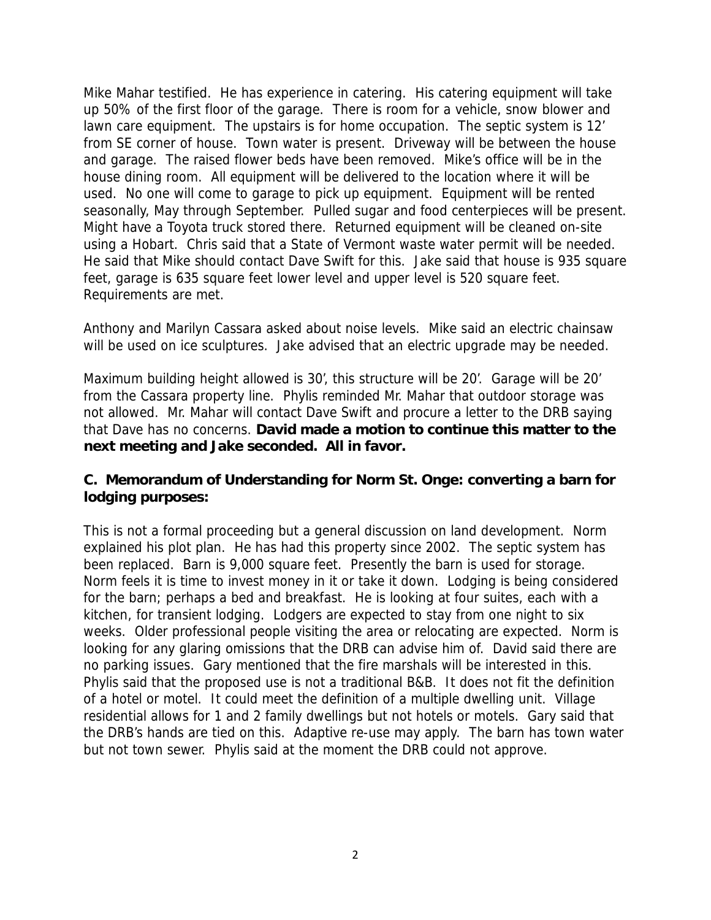Mike Mahar testified. He has experience in catering. His catering equipment will take up 50% of the first floor of the garage. There is room for a vehicle, snow blower and lawn care equipment. The upstairs is for home occupation. The septic system is 12' from SE corner of house. Town water is present. Driveway will be between the house and garage. The raised flower beds have been removed. Mike's office will be in the house dining room. All equipment will be delivered to the location where it will be used. No one will come to garage to pick up equipment. Equipment will be rented seasonally, May through September. Pulled sugar and food centerpieces will be present. Might have a Toyota truck stored there. Returned equipment will be cleaned on-site using a Hobart. Chris said that a State of Vermont waste water permit will be needed. He said that Mike should contact Dave Swift for this. Jake said that house is 935 square feet, garage is 635 square feet lower level and upper level is 520 square feet. Requirements are met.

Anthony and Marilyn Cassara asked about noise levels. Mike said an electric chainsaw will be used on ice sculptures. Jake advised that an electric upgrade may be needed.

Maximum building height allowed is 30', this structure will be 20'. Garage will be 20' from the Cassara property line. Phylis reminded Mr. Mahar that outdoor storage was not allowed. Mr. Mahar will contact Dave Swift and procure a letter to the DRB saying that Dave has no concerns. **David made a motion to continue this matter to the next meeting and Jake seconded. All in favor.** 

## **C. Memorandum of Understanding for Norm St. Onge: converting a barn for lodging purposes:**

This is not a formal proceeding but a general discussion on land development. Norm explained his plot plan. He has had this property since 2002. The septic system has been replaced. Barn is 9,000 square feet. Presently the barn is used for storage. Norm feels it is time to invest money in it or take it down. Lodging is being considered for the barn; perhaps a bed and breakfast. He is looking at four suites, each with a kitchen, for transient lodging. Lodgers are expected to stay from one night to six weeks. Older professional people visiting the area or relocating are expected. Norm is looking for any glaring omissions that the DRB can advise him of. David said there are no parking issues. Gary mentioned that the fire marshals will be interested in this. Phylis said that the proposed use is not a traditional B&B. It does not fit the definition of a hotel or motel. It could meet the definition of a multiple dwelling unit. Village residential allows for 1 and 2 family dwellings but not hotels or motels. Gary said that the DRB's hands are tied on this. Adaptive re-use may apply. The barn has town water but not town sewer. Phylis said at the moment the DRB could not approve.